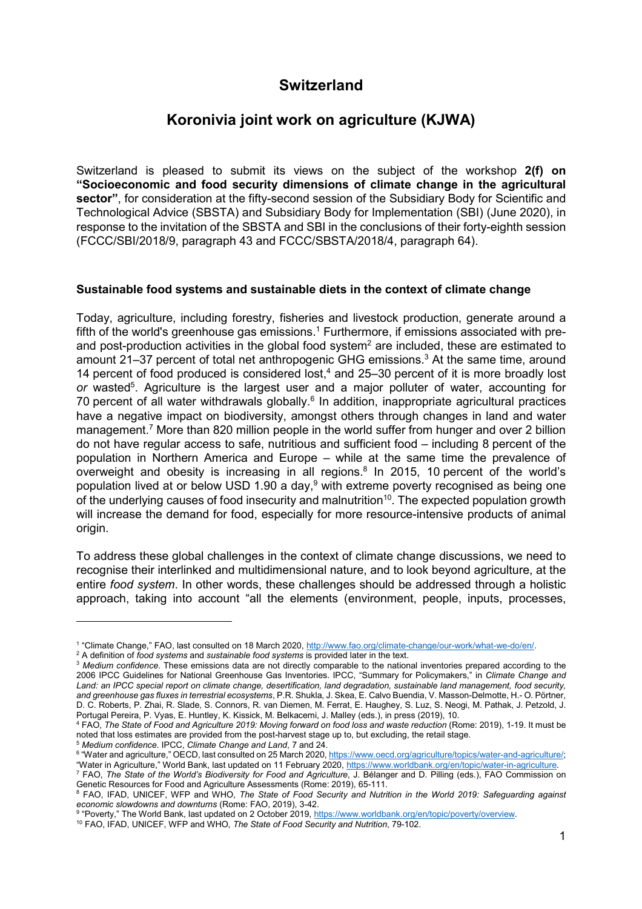# **Switzerland**

## **Koronivia joint work on agriculture (KJWA)**

Switzerland is pleased to submit its views on the subject of the workshop **2(f) on "Socioeconomic and food security dimensions of climate change in the agricultural sector"**, for consideration at the fifty-second session of the Subsidiary Body for Scientific and Technological Advice (SBSTA) and Subsidiary Body for Implementation (SBI) (June 2020), in response to the invitation of the SBSTA and SBI in the conclusions of their forty-eighth session (FCCC/SBI/2018/9, paragraph 43 and FCCC/SBSTA/2018/4, paragraph 64).

#### **Sustainable food systems and sustainable diets in the context of climate change**

Today, agriculture, including forestry, fisheries and livestock production, generate around a fifth of the world's greenhouse gas emissions. $^{\rm 1}$  Furthermore, if emissions associated with preand post-production activities in the global food system<sup>2</sup> are included, these are estimated to amount 21–37 percent of total net anthropogenic GHG emissions.<sup>3</sup> At the same time, around 14 percent of food produced is considered lost, $4$  and 25-30 percent of it is more broadly lost or wasted<sup>5</sup>. Agriculture is the largest user and a major polluter of water, accounting for 70 percent of all water withdrawals globally.<sup>6</sup> In addition, inappropriate agricultural practices have a negative impact on biodiversity, amongst others through changes in land and water management.<sup>7</sup> More than 820 million people in the world suffer from hunger and over 2 billion do not have regular access to safe, nutritious and sufficient food – including 8 percent of the population in Northern America and Europe – while at the same time the prevalence of overweight and obesity is increasing in all regions.<sup>8</sup> In 2015, 10 percent of the world's population lived at or below USD 1.90 a day,<sup>9</sup> with extreme poverty recognised as being one of the underlying causes of food insecurity and malnutrition<sup>10</sup>. The expected population growth will increase the demand for food, especially for more resource-intensive products of animal origin.

To address these global challenges in the context of climate change discussions, we need to recognise their interlinked and multidimensional nature, and to look beyond agriculture, at the entire *food system*. In other words, these challenges should be addressed through a holistic approach, taking into account "all the elements (environment, people, inputs, processes,

j

<sup>5</sup> *Medium confidence*. IPCC, *Climate Change and Land*, 7 and 24.

<sup>&</sup>lt;sup>1</sup> "Climate Change," FAO, last consulted on 18 March 2020, http://www.fao.org/climate-change/our-work/what-we-do/en/.

<sup>2</sup> A definition of *food systems* and *sustainable food systems* is provided later in the text.

<sup>3</sup> *Medium confidence*. These emissions data are not directly comparable to the national inventories prepared according to the 2006 IPCC Guidelines for National Greenhouse Gas Inventories. IPCC, "Summary for Policymakers," in *Climate Change and Land: an IPCC special report on climate change, desertification, land degradation, sustainable land management, food security, and greenhouse gas fluxes in terrestrial ecosystems*, P.R. Shukla, J. Skea, E. Calvo Buendia, V. Masson-Delmotte, H.- O. Pörtner, D. C. Roberts, P. Zhai, R. Slade, S. Connors, R. van Diemen, M. Ferrat, E. Haughey, S. Luz, S. Neogi, M. Pathak, J. Petzold, J. Portugal Pereira, P. Vyas, E. Huntley, K. Kissick, M. Belkacemi, J. Malley (eds.), in press (2019), 10.

<sup>4</sup> FAO, *The State of Food and Agriculture 2019: Moving forward on food loss and waste reduction* (Rome: 2019), 1-19. It must be noted that loss estimates are provided from the post-harvest stage up to, but excluding, the retail stage.

<sup>&</sup>lt;sup>6</sup> "Water and agriculture," OECD, last consulted on 25 March 2020, https://www.oecd.org/agriculture/topics/water-and-agriculture/; "Water in Agriculture," World Bank, last updated on 11 February 2020, https://www.worldbank.org/en/topic/water-in-agriculture.

<sup>7</sup> FAO, *The State of the World's Biodiversity for Food and Agriculture*, J. Bélanger and D. Pilling (eds.), FAO Commission on Genetic Resources for Food and Agriculture Assessments (Rome: 2019), 65-111.

<sup>&</sup>lt;sup>8</sup> FAO, IFAD, UNICEF, WFP and WHO, *The State of Food Security and Nutrition in the World 2019: Safeguarding against economic slowdowns and downturns* (Rome: FAO, 2019), 3-42.

<sup>&</sup>lt;sup>9</sup> "Poverty," The World Bank, last updated on 2 October 2019, https://www.worldbank.org/en/topic/poverty/overview.

<sup>10</sup> FAO, IFAD, UNICEF, WFP and WHO, *The State of Food Security and Nutrition*, 79-102.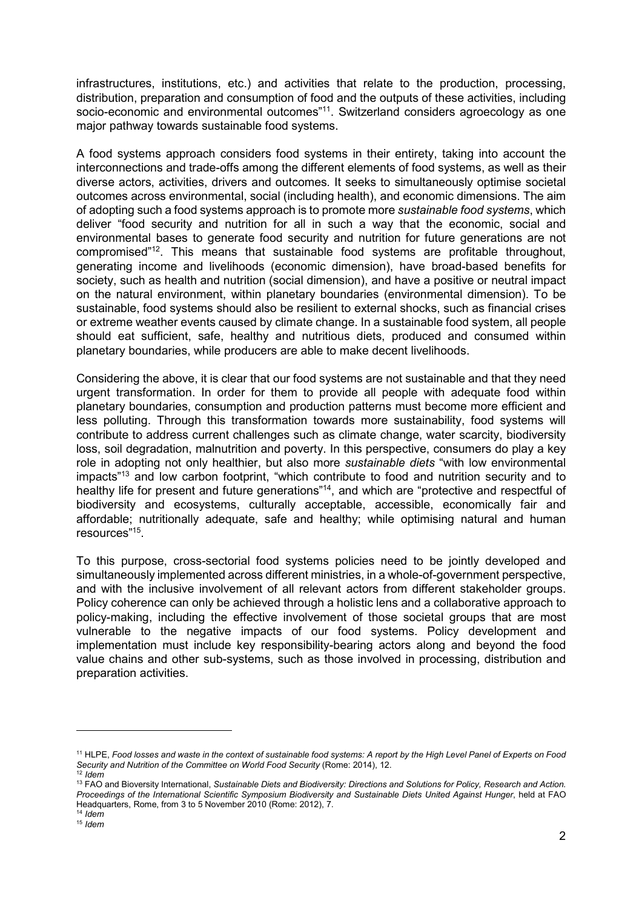infrastructures, institutions, etc.) and activities that relate to the production, processing, distribution, preparation and consumption of food and the outputs of these activities, including socio-economic and environmental outcomes"<sup>11</sup>. Switzerland considers agroecology as one major pathway towards sustainable food systems.

A food systems approach considers food systems in their entirety, taking into account the interconnections and trade-offs among the different elements of food systems, as well as their diverse actors, activities, drivers and outcomes*.* It seeks to simultaneously optimise societal outcomes across environmental, social (including health), and economic dimensions. The aim of adopting such a food systems approach is to promote more *sustainable food systems*, which deliver "food security and nutrition for all in such a way that the economic, social and environmental bases to generate food security and nutrition for future generations are not compromised"<sup>12</sup>. This means that sustainable food systems are profitable throughout, generating income and livelihoods (economic dimension), have broad-based benefits for society, such as health and nutrition (social dimension), and have a positive or neutral impact on the natural environment, within planetary boundaries (environmental dimension). To be sustainable, food systems should also be resilient to external shocks, such as financial crises or extreme weather events caused by climate change. In a sustainable food system, all people should eat sufficient, safe, healthy and nutritious diets, produced and consumed within planetary boundaries, while producers are able to make decent livelihoods.

Considering the above, it is clear that our food systems are not sustainable and that they need urgent transformation. In order for them to provide all people with adequate food within planetary boundaries, consumption and production patterns must become more efficient and less polluting. Through this transformation towards more sustainability, food systems will contribute to address current challenges such as climate change, water scarcity, biodiversity loss, soil degradation, malnutrition and poverty. In this perspective, consumers do play a key role in adopting not only healthier, but also more *sustainable diets* "with low environmental impacts"<sup>13</sup> and low carbon footprint, "which contribute to food and nutrition security and to healthy life for present and future generations"<sup>14</sup>, and which are "protective and respectful of biodiversity and ecosystems, culturally acceptable, accessible, economically fair and affordable; nutritionally adequate, safe and healthy; while optimising natural and human resources"<sup>15</sup> .

To this purpose, cross-sectorial food systems policies need to be jointly developed and simultaneously implemented across different ministries, in a whole-of-government perspective, and with the inclusive involvement of all relevant actors from different stakeholder groups. Policy coherence can only be achieved through a holistic lens and a collaborative approach to policy-making, including the effective involvement of those societal groups that are most vulnerable to the negative impacts of our food systems. Policy development and implementation must include key responsibility-bearing actors along and beyond the food value chains and other sub-systems, such as those involved in processing, distribution and preparation activities.

-

<sup>11</sup> HLPE, *Food losses and waste in the context of sustainable food systems: A report by the High Level Panel of Experts on Food Security and Nutrition of the Committee on World Food Security* (Rome: 2014), 12. <sup>12</sup> *Idem*

<sup>13</sup> FAO and Bioversity International, *Sustainable Diets and Biodiversity: Directions and Solutions for Policy, Research and Action. Proceedings of the International Scientific Symposium Biodiversity and Sustainable Diets United Against Hunger*, held at FAO Headquarters, Rome, from 3 to 5 November 2010 (Rome: 2012), 7.

<sup>14</sup> *Idem* <sup>15</sup> *Idem*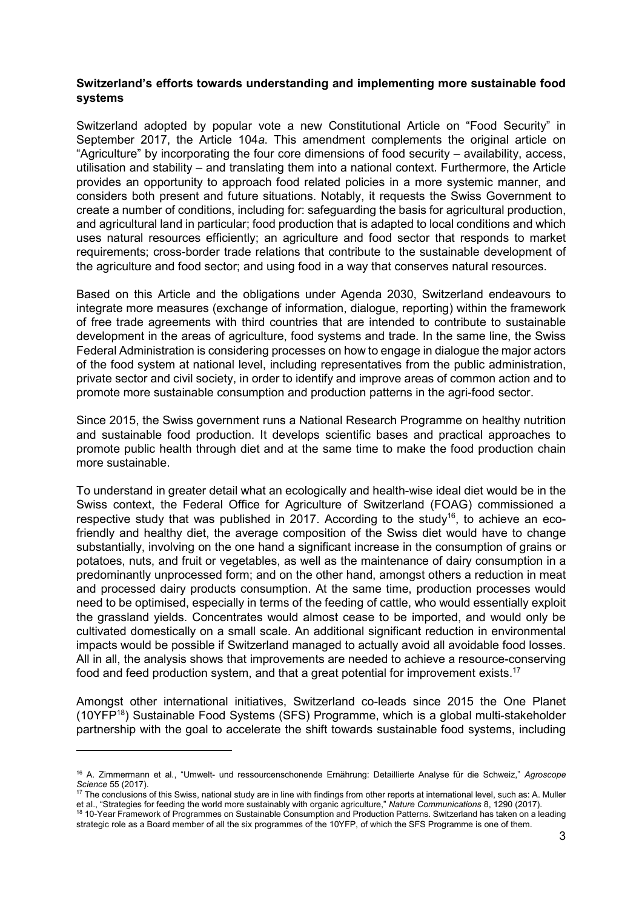#### **Switzerland's efforts towards understanding and implementing more sustainable food systems**

Switzerland adopted by popular vote a new Constitutional Article on "Food Security" in September 2017, the Article 104*a*. This amendment complements the original article on "Agriculture" by incorporating the four core dimensions of food security – availability, access, utilisation and stability – and translating them into a national context. Furthermore, the Article provides an opportunity to approach food related policies in a more systemic manner, and considers both present and future situations. Notably, it requests the Swiss Government to create a number of conditions, including for: safeguarding the basis for agricultural production, and agricultural land in particular; food production that is adapted to local conditions and which uses natural resources efficiently; an agriculture and food sector that responds to market requirements; cross-border trade relations that contribute to the sustainable development of the agriculture and food sector; and using food in a way that conserves natural resources.

Based on this Article and the obligations under Agenda 2030, Switzerland endeavours to integrate more measures (exchange of information, dialogue, reporting) within the framework of free trade agreements with third countries that are intended to contribute to sustainable development in the areas of agriculture, food systems and trade. In the same line, the Swiss Federal Administration is considering processes on how to engage in dialogue the major actors of the food system at national level, including representatives from the public administration, private sector and civil society, in order to identify and improve areas of common action and to promote more sustainable consumption and production patterns in the agri-food sector.

Since 2015, the Swiss government runs a National Research Programme on healthy nutrition and sustainable food production. It develops scientific bases and practical approaches to promote public health through diet and at the same time to make the food production chain more sustainable.

To understand in greater detail what an ecologically and health-wise ideal diet would be in the Swiss context, the Federal Office for Agriculture of Switzerland (FOAG) commissioned a respective study that was published in 2017. According to the study<sup>16</sup>, to achieve an ecofriendly and healthy diet, the average composition of the Swiss diet would have to change substantially, involving on the one hand a significant increase in the consumption of grains or potatoes, nuts, and fruit or vegetables, as well as the maintenance of dairy consumption in a predominantly unprocessed form; and on the other hand, amongst others a reduction in meat and processed dairy products consumption. At the same time, production processes would need to be optimised, especially in terms of the feeding of cattle, who would essentially exploit the grassland yields. Concentrates would almost cease to be imported, and would only be cultivated domestically on a small scale. An additional significant reduction in environmental impacts would be possible if Switzerland managed to actually avoid all avoidable food losses. All in all, the analysis shows that improvements are needed to achieve a resource-conserving food and feed production system, and that a great potential for improvement exists.<sup>17</sup>

Amongst other international initiatives, Switzerland co-leads since 2015 the One Planet (10YFP<sup>18</sup>) Sustainable Food Systems (SFS) Programme, which is a global multi-stakeholder partnership with the goal to accelerate the shift towards sustainable food systems, including

-

<sup>16</sup> A. Zimmermann et al., "Umwelt- und ressourcenschonende Ernährung: Detaillierte Analyse für die Schweiz," *Agroscope Science* 55 (2017).

 $17$  The conclusions of this Swiss, national study are in line with findings from other reports at international level, such as: A. Muller et al., "Strategies for feeding the world more sustainably with organic agriculture," *Nature Communications* 8, 1290 (2017).

<sup>&</sup>lt;sup>18</sup> 10-Year Framework of Programmes on Sustainable Consumption and Production Patterns. Switzerland has taken on a leading strategic role as a Board member of all the six programmes of the 10YFP, of which the SFS Programme is one of them.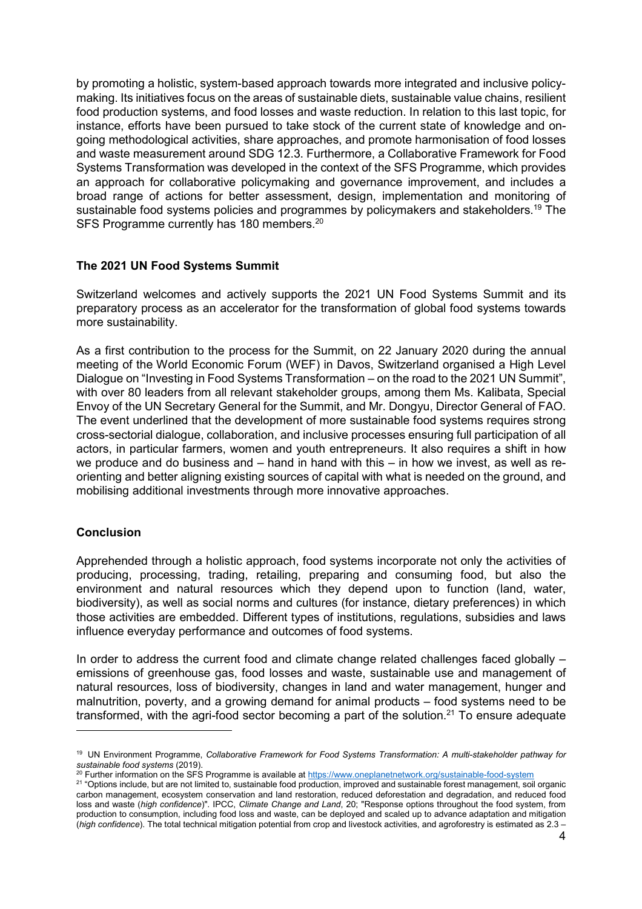by promoting a holistic, system-based approach towards more integrated and inclusive policymaking. Its initiatives focus on the areas of sustainable diets, sustainable value chains, resilient food production systems, and food losses and waste reduction. In relation to this last topic, for instance, efforts have been pursued to take stock of the current state of knowledge and ongoing methodological activities, share approaches, and promote harmonisation of food losses and waste measurement around SDG 12.3. Furthermore, a Collaborative Framework for Food Systems Transformation was developed in the context of the SFS Programme, which provides an approach for collaborative policymaking and governance improvement, and includes a broad range of actions for better assessment, design, implementation and monitoring of sustainable food systems policies and programmes by policymakers and stakeholders.<sup>19</sup> The SFS Programme currently has 180 members.<sup>20</sup>

### **The 2021 UN Food Systems Summit**

Switzerland welcomes and actively supports the 2021 UN Food Systems Summit and its preparatory process as an accelerator for the transformation of global food systems towards more sustainability.

As a first contribution to the process for the Summit, on 22 January 2020 during the annual meeting of the World Economic Forum (WEF) in Davos, Switzerland organised a High Level Dialogue on "Investing in Food Systems Transformation – on the road to the 2021 UN Summit", with over 80 leaders from all relevant stakeholder groups, among them Ms. Kalibata, Special Envoy of the UN Secretary General for the Summit, and Mr. Dongyu, Director General of FAO. The event underlined that the development of more sustainable food systems requires strong cross-sectorial dialogue, collaboration, and inclusive processes ensuring full participation of all actors, in particular farmers, women and youth entrepreneurs. It also requires a shift in how we produce and do business and – hand in hand with this – in how we invest, as well as reorienting and better aligning existing sources of capital with what is needed on the ground, and mobilising additional investments through more innovative approaches.

### **Conclusion**

-

Apprehended through a holistic approach, food systems incorporate not only the activities of producing, processing, trading, retailing, preparing and consuming food, but also the environment and natural resources which they depend upon to function (land, water, biodiversity), as well as social norms and cultures (for instance, dietary preferences) in which those activities are embedded. Different types of institutions, regulations, subsidies and laws influence everyday performance and outcomes of food systems.

In order to address the current food and climate change related challenges faced globally – emissions of greenhouse gas, food losses and waste, sustainable use and management of natural resources, loss of biodiversity, changes in land and water management, hunger and malnutrition, poverty, and a growing demand for animal products – food systems need to be transformed, with the agri-food sector becoming a part of the solution.<sup>21</sup> To ensure adequate

<sup>&</sup>lt;sup>19</sup> UN Environment Programme, *Collaborative Framework for Food Systems Transformation: A multi-stakeholder pathway for sustainable food systems* (2019).

<sup>&</sup>lt;sup>20</sup> Further information on the SFS Programme is available at https://www.oneplanetnetwork.org/sustainable-food-system

<sup>&</sup>lt;sup>21</sup> "Options include, but are not limited to, sustainable food production, improved and sustainable forest management, soil organic carbon management, ecosystem conservation and land restoration, reduced deforestation and degradation, and reduced food loss and waste (*high confidence*)". IPCC, *Climate Change and Land*, 20; "Response options throughout the food system, from production to consumption, including food loss and waste, can be deployed and scaled up to advance adaptation and mitigation (*high confidence*). The total technical mitigation potential from crop and livestock activities, and agroforestry is estimated as 2.3 –